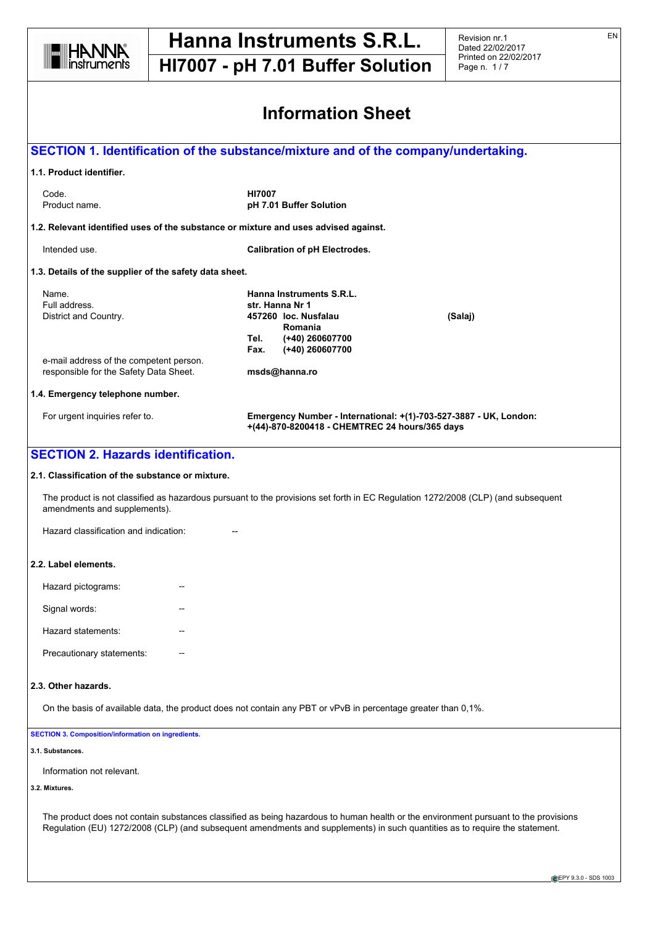

# **Hanna Instruments S.R.L.**

**HI7007 - pH 7.01 Buffer Solution**

Revision nr.1 Dated 22/02/2017 Printed on 22/02/2017 Page n. 1 / 7

 $\overline{\phantom{a}}$ 

| <b>Information Sheet</b>                                                                                                                                               |                                                                                                                                  |         |  |  |  |
|------------------------------------------------------------------------------------------------------------------------------------------------------------------------|----------------------------------------------------------------------------------------------------------------------------------|---------|--|--|--|
|                                                                                                                                                                        | SECTION 1. Identification of the substance/mixture and of the company/undertaking.                                               |         |  |  |  |
| 1.1. Product identifier.                                                                                                                                               |                                                                                                                                  |         |  |  |  |
| Code.<br>Product name.                                                                                                                                                 | <b>HI7007</b><br>pH 7.01 Buffer Solution                                                                                         |         |  |  |  |
|                                                                                                                                                                        | 1.2. Relevant identified uses of the substance or mixture and uses advised against.                                              |         |  |  |  |
| Intended use.                                                                                                                                                          | <b>Calibration of pH Electrodes.</b>                                                                                             |         |  |  |  |
| 1.3. Details of the supplier of the safety data sheet.                                                                                                                 |                                                                                                                                  |         |  |  |  |
|                                                                                                                                                                        | Hanna Instruments S.R.L.                                                                                                         |         |  |  |  |
| Name.<br>Full address.                                                                                                                                                 | str. Hanna Nr 1                                                                                                                  |         |  |  |  |
| District and Country.                                                                                                                                                  | 457260 loc. Nusfalau                                                                                                             | (Salaj) |  |  |  |
|                                                                                                                                                                        | Romania<br>Tel.<br>(+40) 260607700                                                                                               |         |  |  |  |
|                                                                                                                                                                        | (+40) 260607700<br>Fax.                                                                                                          |         |  |  |  |
| e-mail address of the competent person.<br>responsible for the Safety Data Sheet.                                                                                      | msds@hanna.ro                                                                                                                    |         |  |  |  |
| 1.4. Emergency telephone number.                                                                                                                                       |                                                                                                                                  |         |  |  |  |
|                                                                                                                                                                        |                                                                                                                                  |         |  |  |  |
| For urgent inquiries refer to.                                                                                                                                         | Emergency Number - International: +(1)-703-527-3887 - UK, London:<br>+(44)-870-8200418 - CHEMTREC 24 hours/365 days              |         |  |  |  |
|                                                                                                                                                                        |                                                                                                                                  |         |  |  |  |
| <b>SECTION 2. Hazards identification.</b><br>2.1. Classification of the substance or mixture.<br>amendments and supplements).<br>Hazard classification and indication: | The product is not classified as hazardous pursuant to the provisions set forth in EC Regulation 1272/2008 (CLP) (and subsequent |         |  |  |  |
| 2.2. Label elements.                                                                                                                                                   |                                                                                                                                  |         |  |  |  |
| Hazard pictograms:                                                                                                                                                     |                                                                                                                                  |         |  |  |  |
| Signal words:                                                                                                                                                          |                                                                                                                                  |         |  |  |  |
| Hazard statements:                                                                                                                                                     |                                                                                                                                  |         |  |  |  |
| Precautionary statements:                                                                                                                                              |                                                                                                                                  |         |  |  |  |
| 2.3. Other hazards.                                                                                                                                                    |                                                                                                                                  |         |  |  |  |
|                                                                                                                                                                        | On the basis of available data, the product does not contain any PBT or vPvB in percentage greater than 0,1%.                    |         |  |  |  |
|                                                                                                                                                                        |                                                                                                                                  |         |  |  |  |
|                                                                                                                                                                        |                                                                                                                                  |         |  |  |  |
| Information not relevant.                                                                                                                                              |                                                                                                                                  |         |  |  |  |
| <b>SECTION 3. Composition/information on ingredients.</b><br>3.1. Substances.<br>3.2. Mixtures.                                                                        |                                                                                                                                  |         |  |  |  |

EN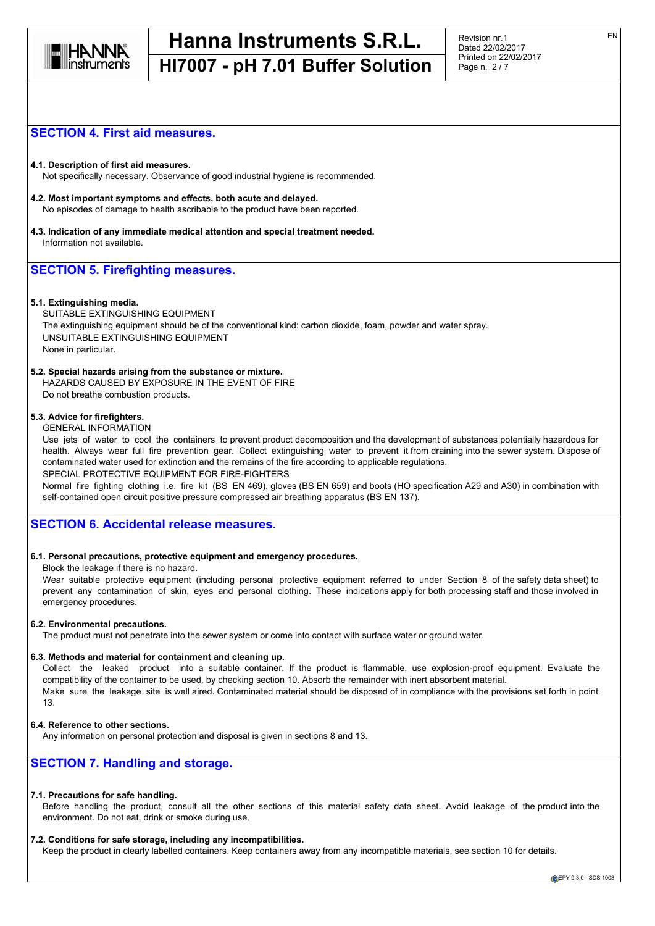

# **SECTION 4. First aid measures.**

**4.1. Description of first aid measures.** Not specifically necessary. Observance of good industrial hygiene is recommended.

- **4.2. Most important symptoms and effects, both acute and delayed.** No episodes of damage to health ascribable to the product have been reported.
- **4.3. Indication of any immediate medical attention and special treatment needed.** Information not available.

# **SECTION 5. Firefighting measures.**

#### **5.1. Extinguishing media.**

SUITABLE EXTINGUISHING EQUIPMENT The extinguishing equipment should be of the conventional kind: carbon dioxide, foam, powder and water spray. UNSUITABLE EXTINGUISHING EQUIPMENT None in particular.

#### **5.2. Special hazards arising from the substance or mixture.**

HAZARDS CAUSED BY EXPOSURE IN THE EVENT OF FIRE

Do not breathe combustion products.

#### **5.3. Advice for firefighters.**

#### GENERAL INFORMATION

Use jets of water to cool the containers to prevent product decomposition and the development of substances potentially hazardous for health. Always wear full fire prevention gear. Collect extinguishing water to prevent it from draining into the sewer system. Dispose of contaminated water used for extinction and the remains of the fire according to applicable regulations. SPECIAL PROTECTIVE EQUIPMENT FOR FIRE-FIGHTERS

Normal fire fighting clothing i.e. fire kit (BS EN 469), gloves (BS EN 659) and boots (HO specification A29 and A30) in combination with self-contained open circuit positive pressure compressed air breathing apparatus (BS EN 137).

# **SECTION 6. Accidental release measures.**

#### **6.1. Personal precautions, protective equipment and emergency procedures.**

Block the leakage if there is no hazard.

Wear suitable protective equipment (including personal protective equipment referred to under Section 8 of the safety data sheet) to prevent any contamination of skin, eyes and personal clothing. These indications apply for both processing staff and those involved in emergency procedures.

#### **6.2. Environmental precautions.**

The product must not penetrate into the sewer system or come into contact with surface water or ground water.

#### **6.3. Methods and material for containment and cleaning up.**

Collect the leaked product into a suitable container. If the product is flammable, use explosion-proof equipment. Evaluate the compatibility of the container to be used, by checking section 10. Absorb the remainder with inert absorbent material. Make sure the leakage site is well aired. Contaminated material should be disposed of in compliance with the provisions set forth in point 13.

#### **6.4. Reference to other sections.**

Any information on personal protection and disposal is given in sections 8 and 13.

# **SECTION 7. Handling and storage.**

#### **7.1. Precautions for safe handling.**

Before handling the product, consult all the other sections of this material safety data sheet. Avoid leakage of the product into the environment. Do not eat, drink or smoke during use.

#### **7.2. Conditions for safe storage, including any incompatibilities.**

Keep the product in clearly labelled containers. Keep containers away from any incompatible materials, see section 10 for details.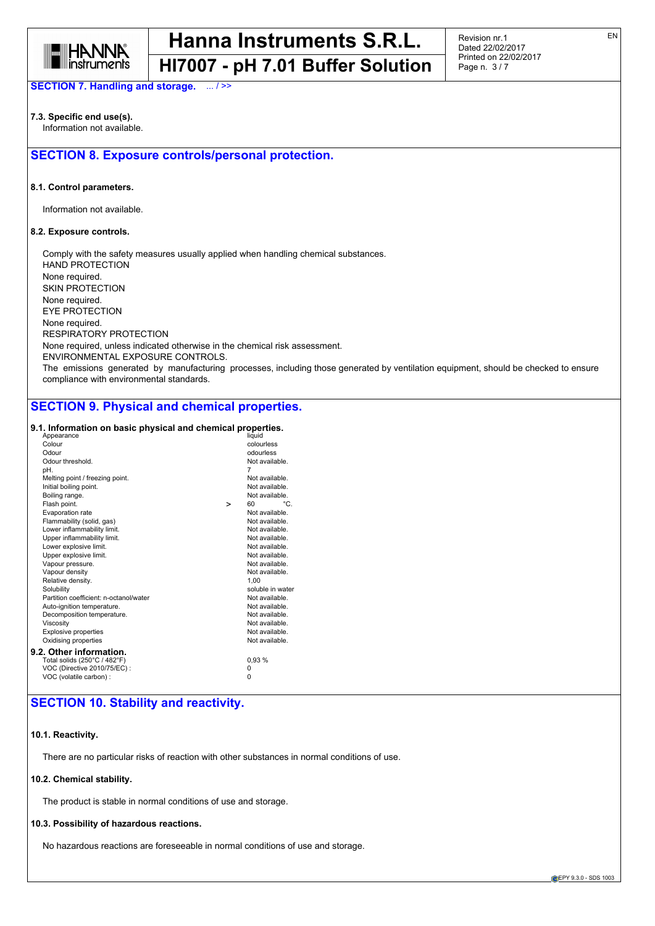

Revision nr.1 Dated 22/02/2017 Printed on 22/02/2017 Page n. 3 / 7

**SECTION 7. Handling and storage.** ... / >>

#### **7.3. Specific end use(s).** Information not available.

# **SECTION 8. Exposure controls/personal protection.**

#### **8.1. Control parameters.**

Information not available.

#### **8.2. Exposure controls.**

Comply with the safety measures usually applied when handling chemical substances. HAND PROTECTION None required. SKIN PROTECTION None required. EYE PROTECTION None required. RESPIRATORY PROTECTION None required, unless indicated otherwise in the chemical risk assessment. ENVIRONMENTAL EXPOSURE CONTROLS. The emissions generated by manufacturing processes, including those generated by ventilation equipment, should be checked to ensure compliance with environmental standards.

# **SECTION 9. Physical and chemical properties.**

#### **9.1. Information on basic physical and chemical properties.**

| Appearance                             |   | liquid           |     |
|----------------------------------------|---|------------------|-----|
| Colour                                 |   | colourless       |     |
| Odour                                  |   | odourless        |     |
| Odour threshold.                       |   | Not available.   |     |
| pН.                                    |   | 7                |     |
| Melting point / freezing point.        |   | Not available.   |     |
| Initial boiling point.                 |   | Not available.   |     |
| Boiling range.                         |   | Not available.   |     |
| Flash point.                           | > | 60               | °C. |
| Evaporation rate                       |   | Not available.   |     |
| Flammability (solid, gas)              |   | Not available.   |     |
| Lower inflammability limit.            |   | Not available.   |     |
| Upper inflammability limit.            |   | Not available.   |     |
| Lower explosive limit.                 |   | Not available.   |     |
| Upper explosive limit.                 |   | Not available.   |     |
| Vapour pressure.                       |   | Not available.   |     |
| Vapour density                         |   | Not available.   |     |
| Relative density.                      |   | 1.00             |     |
| Solubility                             |   | soluble in water |     |
| Partition coefficient: n-octanol/water |   | Not available.   |     |
| Auto-ignition temperature.             |   | Not available.   |     |
| Decomposition temperature.             |   | Not available.   |     |
| Viscosity                              |   | Not available.   |     |
| <b>Explosive properties</b>            |   | Not available.   |     |
| Oxidising properties                   |   | Not available.   |     |
| 9.2. Other information.                |   |                  |     |
| Total solids (250°C / 482°F)           |   | 0.93%            |     |
| VOC (Directive 2010/75/EC) :           |   | 0                |     |
| VOC (volatile carbon) :                |   | 0                |     |
|                                        |   |                  |     |

# **SECTION 10. Stability and reactivity.**

#### **10.1. Reactivity.**

There are no particular risks of reaction with other substances in normal conditions of use.

#### **10.2. Chemical stability.**

The product is stable in normal conditions of use and storage.

#### **10.3. Possibility of hazardous reactions.**

No hazardous reactions are foreseeable in normal conditions of use and storage.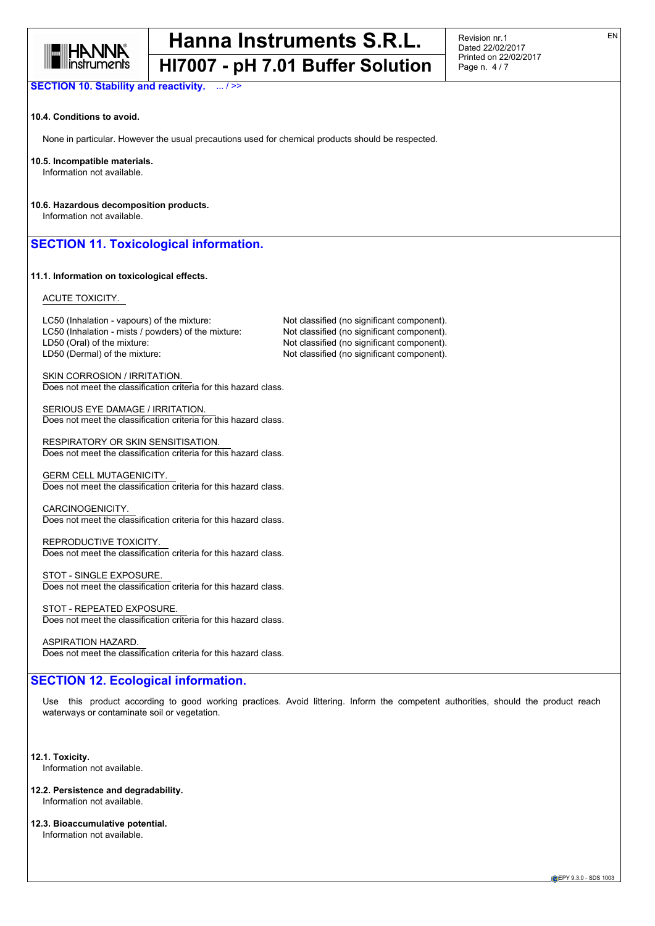

Revision nr.1 Dated 22/02/2017 Printed on 22/02/2017 Page n. 4 / 7

**SECTION 10. Stability and reactivity.** ... / >>

#### **10.4. Conditions to avoid.**

None in particular. However the usual precautions used for chemical products should be respected.

#### **10.5. Incompatible materials.**

Information not available.

**10.6. Hazardous decomposition products.** Information not available.

# **SECTION 11. Toxicological information.**

#### **11.1. Information on toxicological effects.**

#### ACUTE TOXICITY.

LC50 (Inhalation - vapours) of the mixture: Not classified (no significant component). LC50 (Inhalation - mists / powders) of the mixture: Not classified (no significant component). LD50 (Oral) of the mixture: Note that the Mot classified (no significant component). LD50 (Dermal) of the mixture:  $Not$  classified (no significant component).

SKIN CORROSION / IRRITATION. Does not meet the classification criteria for this hazard class.

SERIOUS EYE DAMAGE / IRRITATION. Does not meet the classification criteria for this hazard class.

RESPIRATORY OR SKIN SENSITISATION. Does not meet the classification criteria for this hazard class.

GERM CELL MUTAGENICITY. Does not meet the classification criteria for this hazard class.

CARCINOGENICITY. Does not meet the classification criteria for this hazard class.

REPRODUCTIVE TOXICITY. Does not meet the classification criteria for this hazard class.

STOT - SINGLE EXPOSURE. Does not meet the classification criteria for this hazard class.

STOT - REPEATED EXPOSURE. Does not meet the classification criteria for this hazard class.

ASPIRATION HAZARD. Does not meet the classification criteria for this hazard class.

# **SECTION 12. Ecological information.**

Use this product according to good working practices. Avoid littering. Inform the competent authorities, should the product reach waterways or contaminate soil or vegetation.

**12.1. Toxicity.**

Information not available.

- **12.2. Persistence and degradability.** Information not available.
- **12.3. Bioaccumulative potential.** Information not available.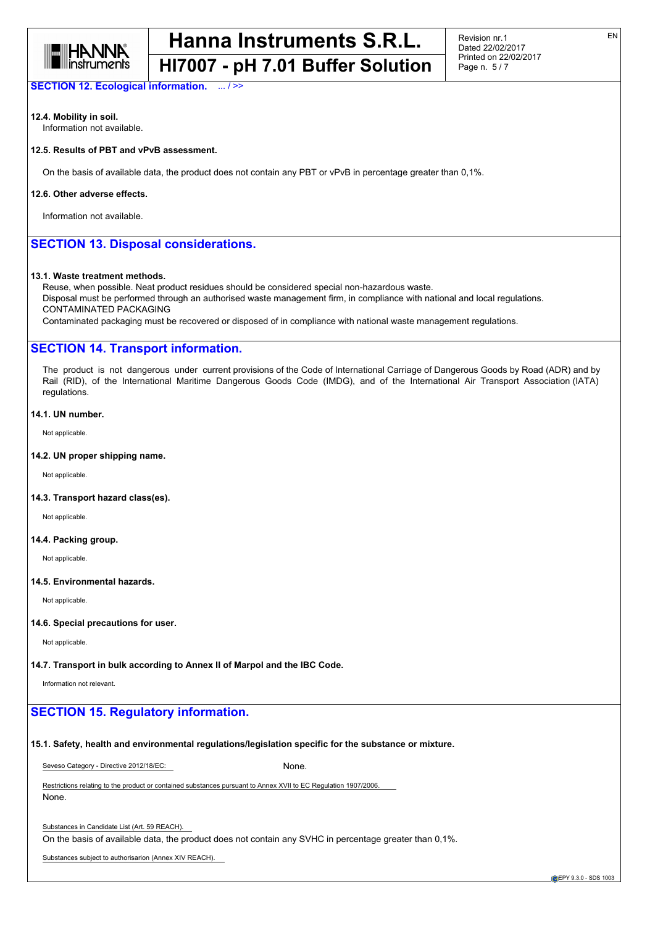

**SECTION 12. Ecological information.** ... / >>

### **12.4. Mobility in soil.**

Information not available.

## **12.5. Results of PBT and vPvB assessment.**

On the basis of available data, the product does not contain any PBT or vPvB in percentage greater than 0,1%.

#### **12.6. Other adverse effects.**

Information not available.

# **SECTION 13. Disposal considerations.**

#### **13.1. Waste treatment methods.**

Reuse, when possible. Neat product residues should be considered special non-hazardous waste. Disposal must be performed through an authorised waste management firm, in compliance with national and local regulations. CONTAMINATED PACKAGING

Contaminated packaging must be recovered or disposed of in compliance with national waste management regulations.

### **SECTION 14. Transport information.**

The product is not dangerous under current provisions of the Code of International Carriage of Dangerous Goods by Road (ADR) and by Rail (RID), of the International Maritime Dangerous Goods Code (IMDG), and of the International Air Transport Association (IATA) regulations.

#### **14.1. UN number.**

Not applicable.

#### **14.2. UN proper shipping name.**

Not applicable.

#### **14.3. Transport hazard class(es).**

Not applicable.

#### **14.4. Packing group.**

Not applicable.

#### **14.5. Environmental hazards.**

Not applicable.

#### **14.6. Special precautions for user.**

Not applicable.

#### **14.7. Transport in bulk according to Annex II of Marpol and the IBC Code.**

Information not relevant.

## **SECTION 15. Regulatory information.**

#### **15.1. Safety, health and environmental regulations/legislation specific for the substance or mixture.**

Seveso Category - Directive 2012/18/EC: None.

Restrictions relating to the product or contained substances pursuant to Annex XVII to EC Regulation 1907/2006. None.

Substances in Candidate List (Art. 59 REACH).

On the basis of available data, the product does not contain any SVHC in percentage greater than 0,1%.

Substances subject to authorisarion (Annex XIV REACH).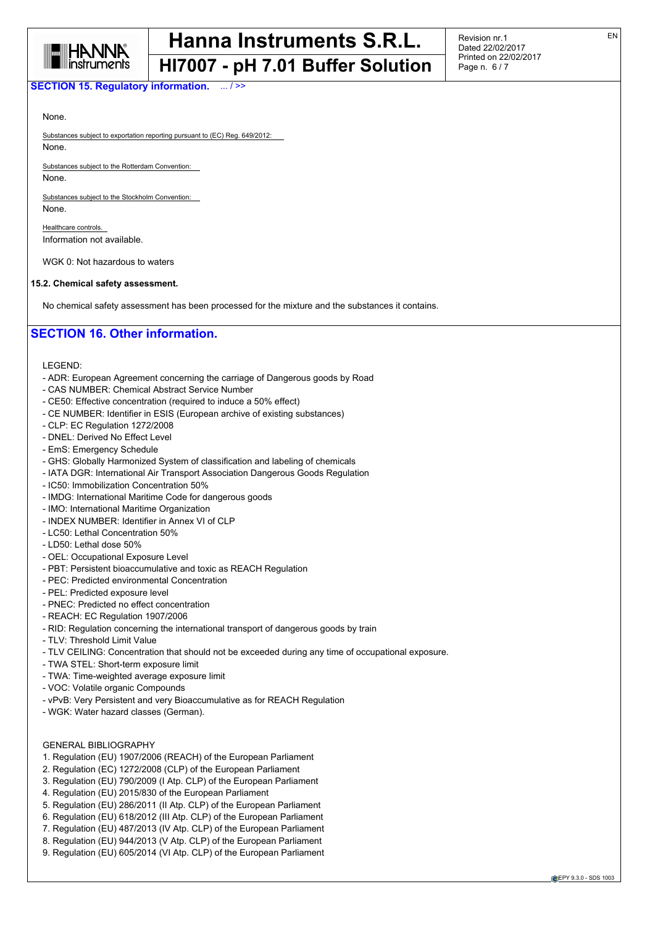

Revision nr.1 Dated 22/02/2017 Printed on 22/02/2017 Page n. 6 / 7

### **SECTION 15. Regulatory information.** ... / >>

None.

Substances subject to exportation reporting pursuant to (EC) Reg. 649/2012: None.

Substances subject to the Rotterdam Convention: None.

Substances subject to the Stockholm Convention: None.

Healthcare controls. Information not available.

WGK 0: Not hazardous to waters

#### **15.2. Chemical safety assessment.**

No chemical safety assessment has been processed for the mixture and the substances it contains.

## **SECTION 16. Other information.**

LEGEND:

- ADR: European Agreement concerning the carriage of Dangerous goods by Road
- CAS NUMBER: Chemical Abstract Service Number
- CE50: Effective concentration (required to induce a 50% effect)
- CE NUMBER: Identifier in ESIS (European archive of existing substances)
- CLP: EC Regulation 1272/2008
- DNEL: Derived No Effect Level
- EmS: Emergency Schedule
- GHS: Globally Harmonized System of classification and labeling of chemicals
- IATA DGR: International Air Transport Association Dangerous Goods Regulation
- IC50: Immobilization Concentration 50%
- IMDG: International Maritime Code for dangerous goods
- IMO: International Maritime Organization
- INDEX NUMBER: Identifier in Annex VI of CLP
- LC50: Lethal Concentration 50%
- LD50: Lethal dose 50%
- OEL: Occupational Exposure Level
- PBT: Persistent bioaccumulative and toxic as REACH Regulation
- PEC: Predicted environmental Concentration
- PEL: Predicted exposure level
- PNEC: Predicted no effect concentration
- REACH: EC Regulation 1907/2006
- RID: Regulation concerning the international transport of dangerous goods by train
- TLV: Threshold Limit Value
- TLV CEILING: Concentration that should not be exceeded during any time of occupational exposure.
- TWA STEL: Short-term exposure limit
- TWA: Time-weighted average exposure limit
- VOC: Volatile organic Compounds
- vPvB: Very Persistent and very Bioaccumulative as for REACH Regulation
- WGK: Water hazard classes (German).

### GENERAL BIBLIOGRAPHY

- 1. Regulation (EU) 1907/2006 (REACH) of the European Parliament
- 2. Regulation (EC) 1272/2008 (CLP) of the European Parliament
- 3. Regulation (EU) 790/2009 (I Atp. CLP) of the European Parliament
- 4. Regulation (EU) 2015/830 of the European Parliament
- 5. Regulation (EU) 286/2011 (II Atp. CLP) of the European Parliament
- 6. Regulation (EU) 618/2012 (III Atp. CLP) of the European Parliament
- 7. Regulation (EU) 487/2013 (IV Atp. CLP) of the European Parliament
- 8. Regulation (EU) 944/2013 (V Atp. CLP) of the European Parliament
- 9. Regulation (EU) 605/2014 (VI Atp. CLP) of the European Parliament